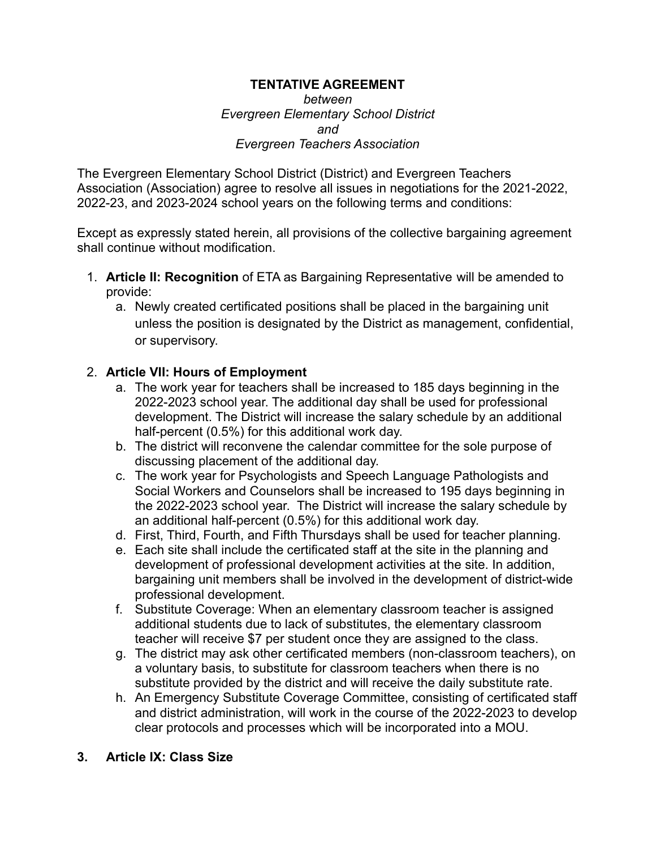# **TENTATIVE AGREEMENT**

#### *between Evergreen Elementary School District and Evergreen Teachers Association*

The Evergreen Elementary School District (District) and Evergreen Teachers Association (Association) agree to resolve all issues in negotiations for the 2021-2022, 2022-23, and 2023-2024 school years on the following terms and conditions:

Except as expressly stated herein, all provisions of the collective bargaining agreement shall continue without modification.

- 1. **Article II: Recognition** of ETA as Bargaining Representative will be amended to provide:
	- a. Newly created certificated positions shall be placed in the bargaining unit unless the position is designated by the District as management, confidential, or supervisory.

# 2. **Article VII: Hours of Employment**

- a. The work year for teachers shall be increased to 185 days beginning in the 2022-2023 school year. The additional day shall be used for professional development. The District will increase the salary schedule by an additional half-percent (0.5%) for this additional work day.
- b. The district will reconvene the calendar committee for the sole purpose of discussing placement of the additional day.
- c. The work year for Psychologists and Speech Language Pathologists and Social Workers and Counselors shall be increased to 195 days beginning in the 2022-2023 school year. The District will increase the salary schedule by an additional half-percent (0.5%) for this additional work day.
- d. First, Third, Fourth, and Fifth Thursdays shall be used for teacher planning.
- e. Each site shall include the certificated staff at the site in the planning and development of professional development activities at the site. In addition, bargaining unit members shall be involved in the development of district-wide professional development.
- f. Substitute Coverage: When an elementary classroom teacher is assigned additional students due to lack of substitutes, the elementary classroom teacher will receive \$7 per student once they are assigned to the class.
- g. The district may ask other certificated members (non-classroom teachers), on a voluntary basis, to substitute for classroom teachers when there is no substitute provided by the district and will receive the daily substitute rate.
- h. An Emergency Substitute Coverage Committee, consisting of certificated staff and district administration, will work in the course of the 2022-2023 to develop clear protocols and processes which will be incorporated into a MOU.
- **3. Article IX: Class Size**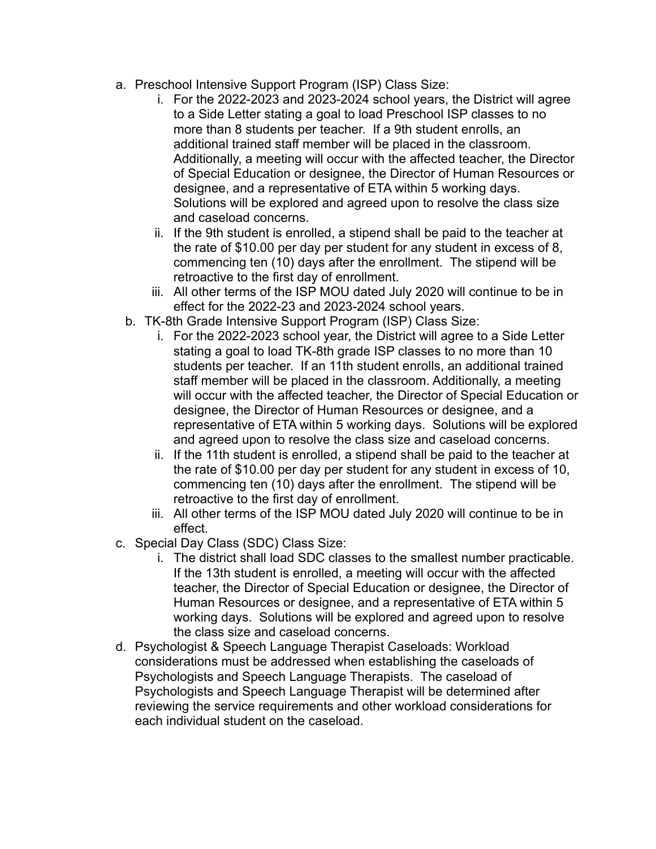- a. Preschool Intensive Support Program (ISP) Class Size:
	- i. For the 2022-2023 and 2023-2024 school years, the District will agree to a Side Letter stating a goal to load Preschool ISP classes to no more than 8 students per teacher. If a 9th student enrolls, an additional trained staff member will be placed in the classroom. Additionally, a meeting will occur with the affected teacher, the Director of Special Education or designee, the Director of Human Resources or designee, and a representative of ETA within 5 working days. Solutions will be explored and agreed upon to resolve the class size and caseload concerns.
	- ii. If the 9th student is enrolled, a stipend shall be paid to the teacher at the rate of \$10.00 per day per student for any student in excess of 8, commencing ten (10) days after the enrollment. The stipend will be retroactive to the first day of enrollment.
	- iii. All other terms of the ISP MOU dated July 2020 will continue to be in effect for the 2022-23 and 2023-2024 school years.
	- b. TK-8th Grade Intensive Support Program (ISP) Class Size:
		- i. For the 2022-2023 school year, the District will agree to a Side Letter stating a goal to load TK-8th grade ISP classes to no more than 10 students per teacher. If an 11th student enrolls, an additional trained staff member will be placed in the classroom. Additionally, a meeting will occur with the affected teacher, the Director of Special Education or designee, the Director of Human Resources or designee, and a representative of ETA within 5 working days. Solutions will be explored and agreed upon to resolve the class size and caseload concerns.
		- ii. If the 11th student is enrolled, a stipend shall be paid to the teacher at the rate of \$10.00 per day per student for any student in excess of 10, commencing ten (10) days after the enrollment. The stipend will be retroactive to the first day of enrollment.
		- iii. All other terms of the ISP MOU dated July 2020 will continue to be in effect.
- c. Special Day Class (SDC) Class Size:
	- i. The district shall load SDC classes to the smallest number practicable. If the 13th student is enrolled, a meeting will occur with the affected teacher, the Director of Special Education or designee, the Director of Human Resources or designee, and a representative of ETA within 5 working days. Solutions will be explored and agreed upon to resolve the class size and caseload concerns.
- d. Psychologist & Speech Language Therapist Caseloads: Workload considerations must be addressed when establishing the caseloads of Psychologists and Speech Language Therapists. The caseload of Psychologists and Speech Language Therapist will be determined after reviewing the service requirements and other workload considerations for each individual student on the caseload.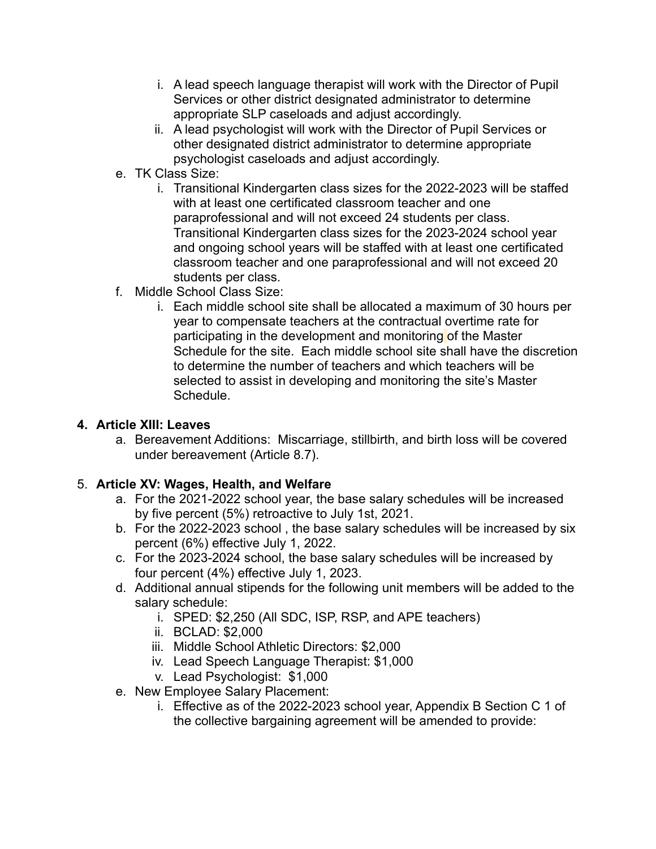- i. A lead speech language therapist will work with the Director of Pupil Services or other district designated administrator to determine appropriate SLP caseloads and adjust accordingly.
- ii. A lead psychologist will work with the Director of Pupil Services or other designated district administrator to determine appropriate psychologist caseloads and adjust accordingly.
- e. TK Class Size:
	- i. Transitional Kindergarten class sizes for the 2022-2023 will be staffed with at least one certificated classroom teacher and one paraprofessional and will not exceed 24 students per class. Transitional Kindergarten class sizes for the 2023-2024 school year and ongoing school years will be staffed with at least one certificated classroom teacher and one paraprofessional and will not exceed 20 students per class.
- f. Middle School Class Size:
	- i. Each middle school site shall be allocated a maximum of 30 hours per year to compensate teachers at the contractual overtime rate for participating in the development and monitoring of the Master Schedule for the site. Each middle school site shall have the discretion to determine the number of teachers and which teachers will be selected to assist in developing and monitoring the site's Master Schedule.

## **4. Article XIII: Leaves**

a. Bereavement Additions: Miscarriage, stillbirth, and birth loss will be covered under bereavement (Article 8.7).

## 5. **Article XV: Wages, Health, and Welfare**

- a. For the 2021-2022 school year, the base salary schedules will be increased by five percent (5%) retroactive to July 1st, 2021.
- b. For the 2022-2023 school , the base salary schedules will be increased by six percent (6%) effective July 1, 2022.
- c. For the 2023-2024 school, the base salary schedules will be increased by four percent (4%) effective July 1, 2023.
- d. Additional annual stipends for the following unit members will be added to the salary schedule:
	- i. SPED: \$2,250 (All SDC, ISP, RSP, and APE teachers)
	- ii. BCLAD: \$2,000
	- iii. Middle School Athletic Directors: \$2,000
	- iv. Lead Speech Language Therapist: \$1,000
	- v. Lead Psychologist: \$1,000
- e. New Employee Salary Placement:
	- i. Effective as of the 2022-2023 school year, Appendix B Section C 1 of the collective bargaining agreement will be amended to provide: